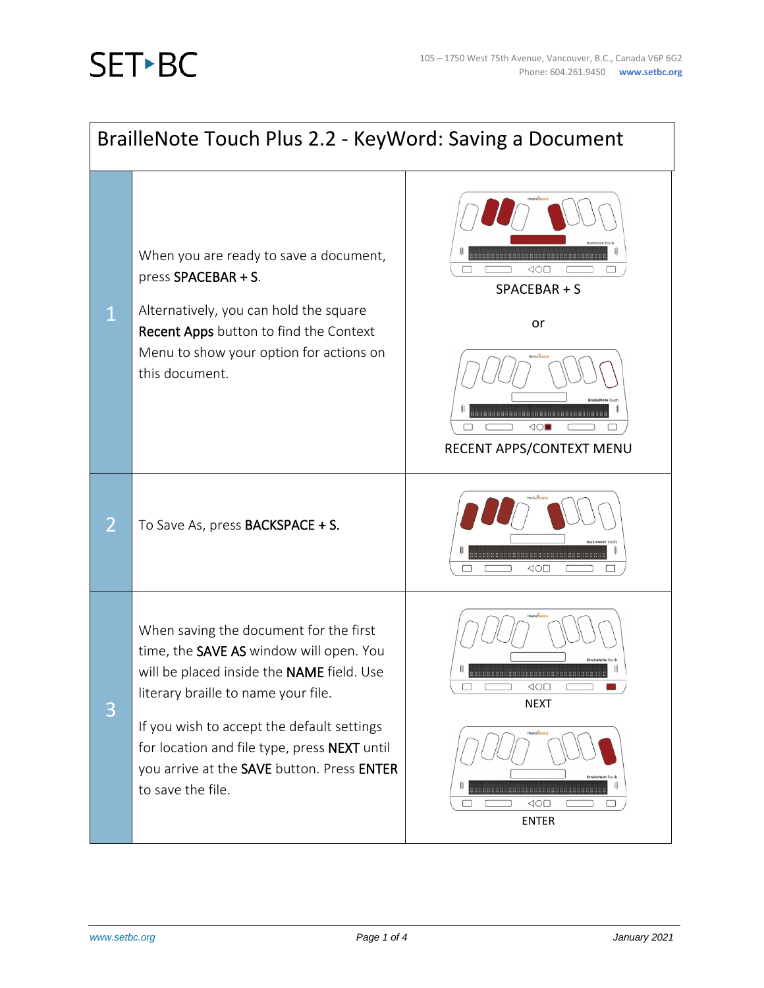## **SETBC**

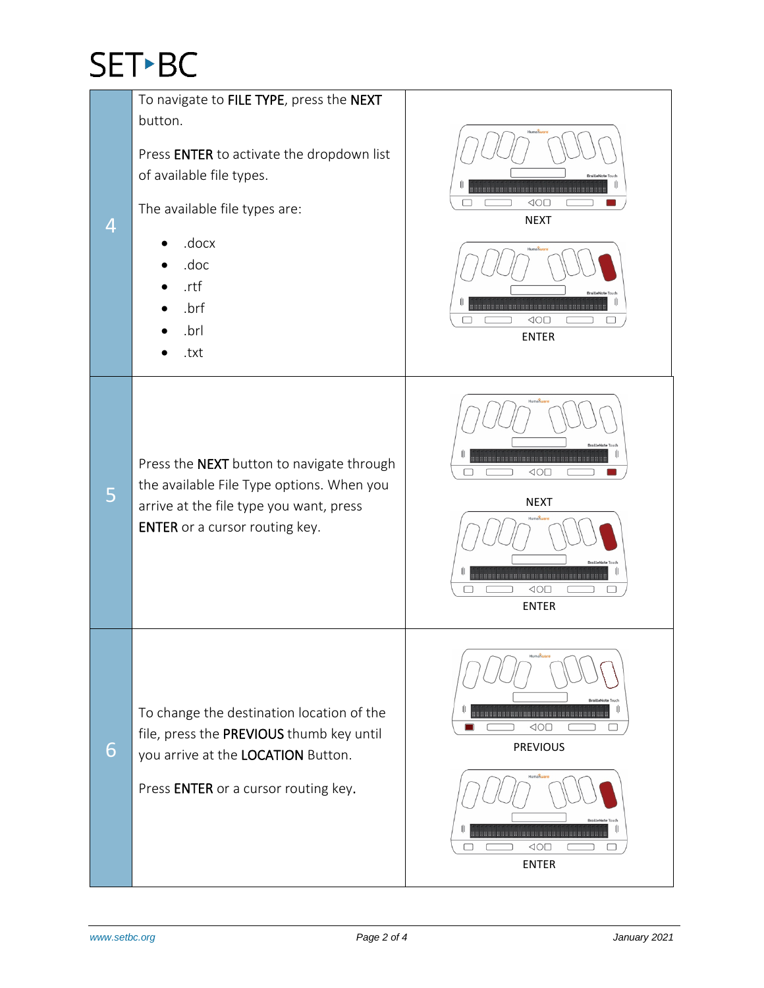## SET-BC

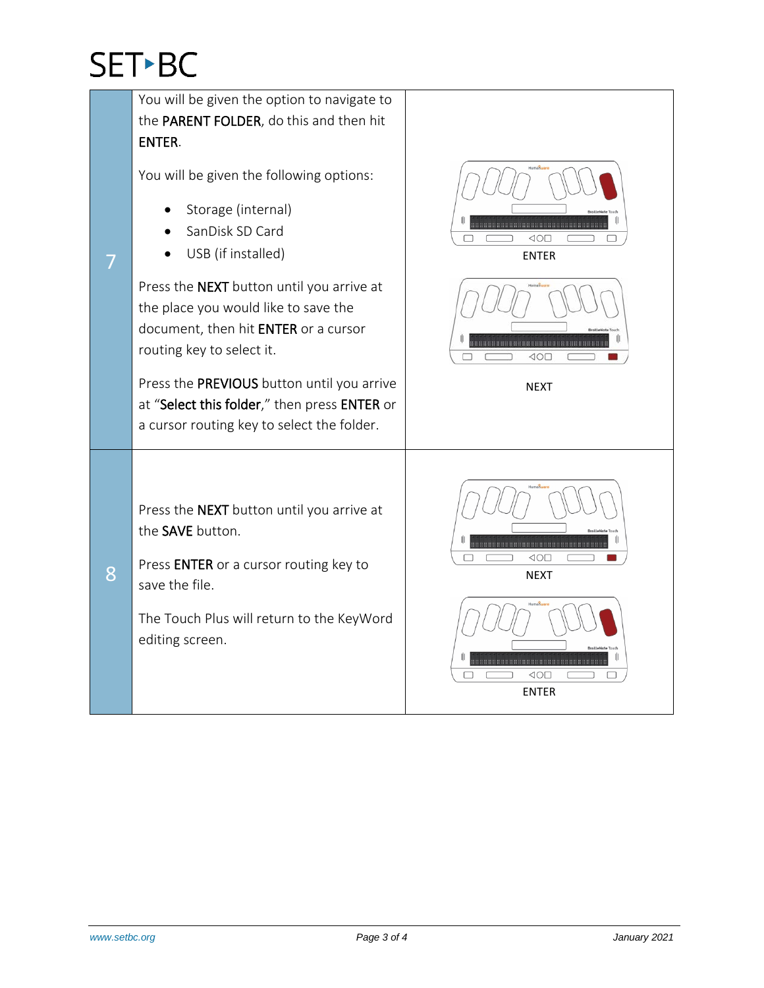## **SET-BC**